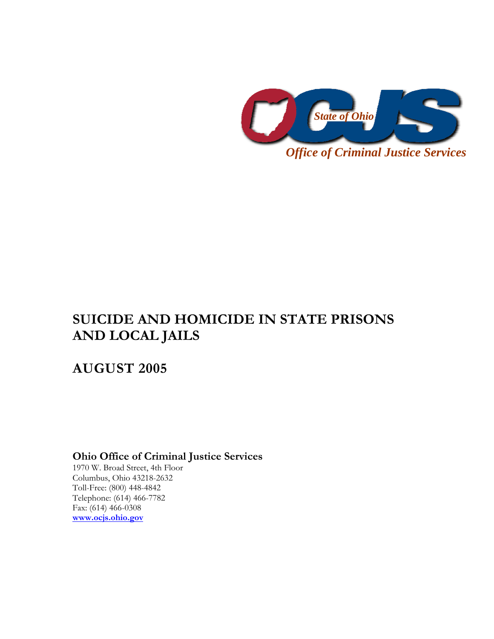

# **SUICIDE AND HOMICIDE IN STATE PRISONS AND LOCAL JAILS**

## **AUGUST 2005**

**Ohio Office of Criminal Justice Services** 

1970 W. Broad Street, 4th Floor Columbus, Ohio 43218-2632 Toll-Free: (800) 448-4842 Telephone: (614) 466-7782 Fax: (614) 466-0308 **www.ocjs.ohio.gov**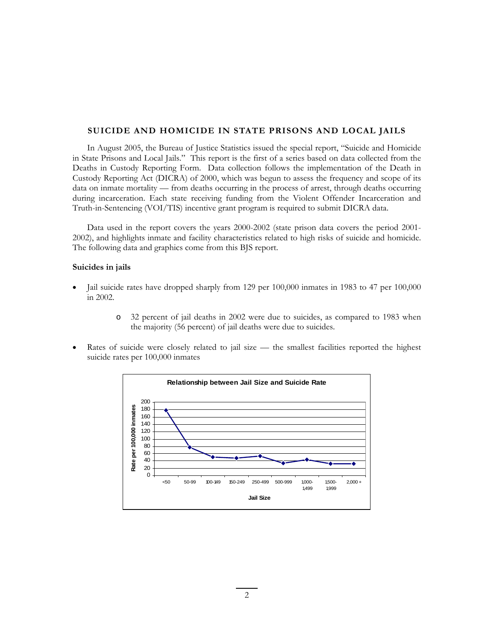#### **SUICIDE AND HOMICIDE IN STATE PRISONS AND LOCAL JAILS**

In August 2005, the Bureau of Justice Statistics issued the special report, "Suicide and Homicide in State Prisons and Local Jails." This report is the first of a series based on data collected from the Deaths in Custody Reporting Form. Data collection follows the implementation of the Death in Custody Reporting Act (DICRA) of 2000, which was begun to assess the frequency and scope of its data on inmate mortality — from deaths occurring in the process of arrest, through deaths occurring during incarceration. Each state receiving funding from the Violent Offender Incarceration and Truth-in-Sentencing (VOI/TIS) incentive grant program is required to submit DICRA data.

Data used in the report covers the years 2000-2002 (state prison data covers the period 2001- 2002), and highlights inmate and facility characteristics related to high risks of suicide and homicide. The following data and graphics come from this BJS report.

#### **Suicides in jails**

- Jail suicide rates have dropped sharply from 129 per 100,000 inmates in 1983 to 47 per 100,000 in 2002.
	- o 32 percent of jail deaths in 2002 were due to suicides, as compared to 1983 when the majority (56 percent) of jail deaths were due to suicides.
- Rates of suicide were closely related to jail size the smallest facilities reported the highest suicide rates per 100,000 inmates

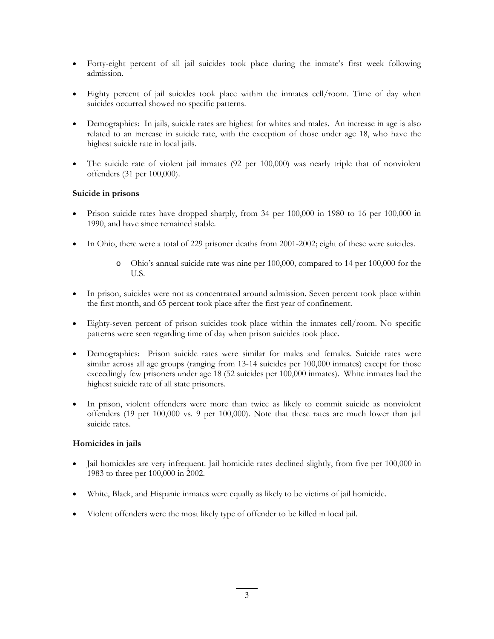- Forty-eight percent of all jail suicides took place during the inmate's first week following admission.
- Eighty percent of jail suicides took place within the inmates cell/room. Time of day when suicides occurred showed no specific patterns.
- Demographics: In jails, suicide rates are highest for whites and males. An increase in age is also related to an increase in suicide rate, with the exception of those under age 18, who have the highest suicide rate in local jails.
- The suicide rate of violent jail inmates (92 per 100,000) was nearly triple that of nonviolent offenders (31 per 100,000).

## **Suicide in prisons**

- Prison suicide rates have dropped sharply, from 34 per 100,000 in 1980 to 16 per 100,000 in 1990, and have since remained stable.
- In Ohio, there were a total of 229 prisoner deaths from 2001-2002; eight of these were suicides.
	- o Ohio's annual suicide rate was nine per 100,000, compared to 14 per 100,000 for the U.S.
- In prison, suicides were not as concentrated around admission. Seven percent took place within the first month, and 65 percent took place after the first year of confinement.
- Eighty-seven percent of prison suicides took place within the inmates cell/room. No specific patterns were seen regarding time of day when prison suicides took place.
- Demographics: Prison suicide rates were similar for males and females. Suicide rates were similar across all age groups (ranging from 13-14 suicides per 100,000 inmates) except for those exceedingly few prisoners under age 18 (52 suicides per 100,000 inmates). White inmates had the highest suicide rate of all state prisoners.
- In prison, violent offenders were more than twice as likely to commit suicide as nonviolent offenders (19 per 100,000 vs. 9 per 100,000). Note that these rates are much lower than jail suicide rates.

### **Homicides in jails**

- Jail homicides are very infrequent. Jail homicide rates declined slightly, from five per 100,000 in 1983 to three per 100,000 in 2002.
- White, Black, and Hispanic inmates were equally as likely to be victims of jail homicide.
- Violent offenders were the most likely type of offender to be killed in local jail.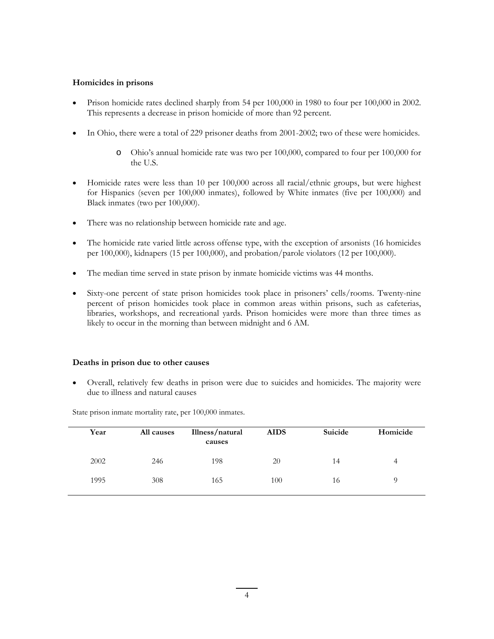#### **Homicides in prisons**

- Prison homicide rates declined sharply from 54 per 100,000 in 1980 to four per 100,000 in 2002. This represents a decrease in prison homicide of more than 92 percent.
- In Ohio, there were a total of 229 prisoner deaths from 2001-2002; two of these were homicides.
	- o Ohio's annual homicide rate was two per 100,000, compared to four per 100,000 for the U.S.
- Homicide rates were less than 10 per 100,000 across all racial/ethnic groups, but were highest for Hispanics (seven per 100,000 inmates), followed by White inmates (five per 100,000) and Black inmates (two per 100,000).
- There was no relationship between homicide rate and age.
- The homicide rate varied little across offense type, with the exception of arsonists (16 homicides per 100,000), kidnapers (15 per 100,000), and probation/parole violators (12 per 100,000).
- The median time served in state prison by inmate homicide victims was 44 months.
- Sixty-one percent of state prison homicides took place in prisoners' cells/rooms. Twenty-nine percent of prison homicides took place in common areas within prisons, such as cafeterias, libraries, workshops, and recreational yards. Prison homicides were more than three times as likely to occur in the morning than between midnight and 6 AM.

#### **Deaths in prison due to other causes**

• Overall, relatively few deaths in prison were due to suicides and homicides. The majority were due to illness and natural causes

| Year | <b>All causes</b> | Illness/natural<br>causes | <b>AIDS</b> | Suicide | Homicide |
|------|-------------------|---------------------------|-------------|---------|----------|
| 2002 | 246               | 198                       | 20          | 14      | 4        |
| 1995 | 308               | 165                       | 100         | 16      | O        |

State prison inmate mortality rate, per 100,000 inmates.